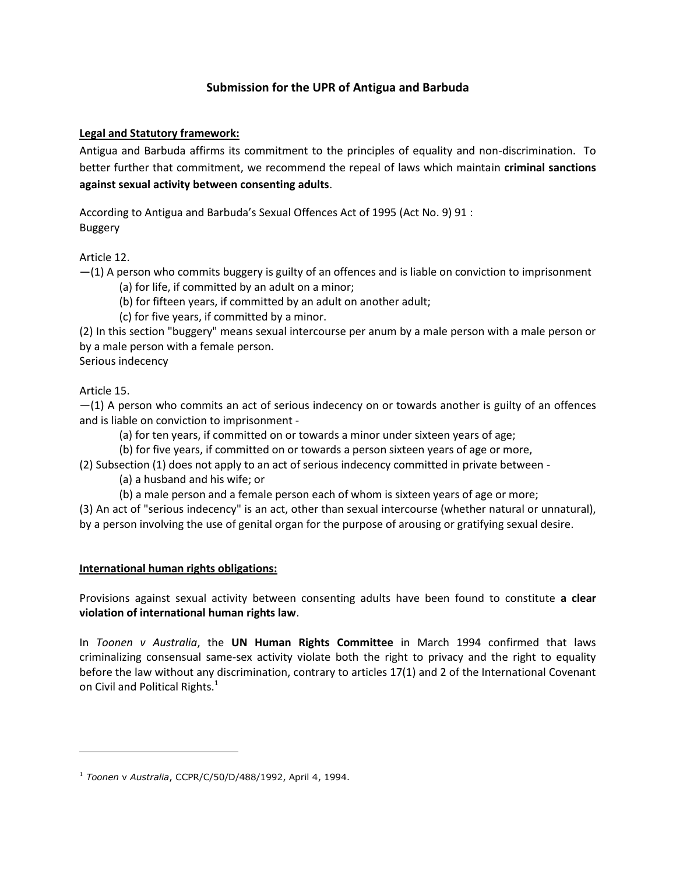# **Submission for the UPR of Antigua and Barbuda**

## **Legal and Statutory framework:**

Antigua and Barbuda affirms its commitment to the principles of equality and non-discrimination. To better further that commitment, we recommend the repeal of laws which maintain **criminal sanctions against sexual activity between consenting adults**.

According to Antigua and Barbuda's Sexual Offences Act of 1995 (Act No. 9) 91 : Buggery

Article 12.

 $-(1)$  A person who commits buggery is guilty of an offences and is liable on conviction to imprisonment (a) for life, if committed by an adult on a minor;

(b) for fifteen years, if committed by an adult on another adult;

(c) for five years, if committed by a minor.

(2) In this section "buggery" means sexual intercourse per anum by a male person with a male person or by a male person with a female person.

Serious indecency

Article 15.

 $\overline{\phantom{a}}$ 

 $-(1)$  A person who commits an act of serious indecency on or towards another is guilty of an offences and is liable on conviction to imprisonment -

(a) for ten years, if committed on or towards a minor under sixteen years of age;

(b) for five years, if committed on or towards a person sixteen years of age or more,

(2) Subsection (1) does not apply to an act of serious indecency committed in private between -

(a) a husband and his wife; or

(b) a male person and a female person each of whom is sixteen years of age or more;

(3) An act of "serious indecency" is an act, other than sexual intercourse (whether natural or unnatural), by a person involving the use of genital organ for the purpose of arousing or gratifying sexual desire.

### **International human rights obligations:**

Provisions against sexual activity between consenting adults have been found to constitute **a clear violation of international human rights law**.

In *Toonen v Australia*, the **UN Human Rights Committee** in March 1994 confirmed that laws criminalizing consensual same-sex activity violate both the right to privacy and the right to equality before the law without any discrimination, contrary to articles 17(1) and 2 of the International Covenant on Civil and Political Rights.<sup>1</sup>

<sup>1</sup> *Toonen* v *Australia*, CCPR/C/50/D/488/1992, April 4, 1994.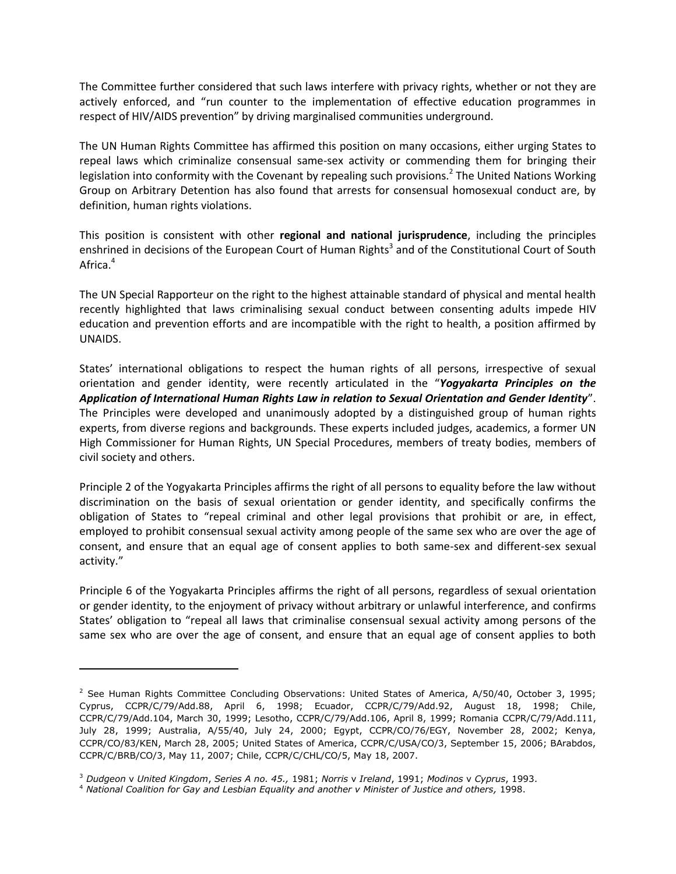The Committee further considered that such laws interfere with privacy rights, whether or not they are actively enforced, and "run counter to the implementation of effective education programmes in respect of HIV/AIDS prevention" by driving marginalised communities underground.

The UN Human Rights Committee has affirmed this position on many occasions, either urging States to repeal laws which criminalize consensual same-sex activity or commending them for bringing their legislation into conformity with the Covenant by repealing such provisions.<sup>2</sup> The United Nations Working Group on Arbitrary Detention has also found that arrests for consensual homosexual conduct are, by definition, human rights violations.

This position is consistent with other **regional and national jurisprudence**, including the principles enshrined in decisions of the European Court of Human Rights<sup>3</sup> and of the Constitutional Court of South Africa.<sup>4</sup>

The UN Special Rapporteur on the right to the highest attainable standard of physical and mental health recently highlighted that laws criminalising sexual conduct between consenting adults impede HIV education and prevention efforts and are incompatible with the right to health, a position affirmed by UNAIDS.

States' international obligations to respect the human rights of all persons, irrespective of sexual orientation and gender identity, were recently articulated in the "*Yogyakarta Principles on the Application of International Human Rights Law in relation to Sexual Orientation and Gender Identity*". The Principles were developed and unanimously adopted by a distinguished group of human rights experts, from diverse regions and backgrounds. These experts included judges, academics, a former UN High Commissioner for Human Rights, UN Special Procedures, members of treaty bodies, members of civil society and others.

Principle 2 of the Yogyakarta Principles affirms the right of all persons to equality before the law without discrimination on the basis of sexual orientation or gender identity, and specifically confirms the obligation of States to "repeal criminal and other legal provisions that prohibit or are, in effect, employed to prohibit consensual sexual activity among people of the same sex who are over the age of consent, and ensure that an equal age of consent applies to both same-sex and different-sex sexual activity."

Principle 6 of the Yogyakarta Principles affirms the right of all persons, regardless of sexual orientation or gender identity, to the enjoyment of privacy without arbitrary or unlawful interference, and confirms States' obligation to "repeal all laws that criminalise consensual sexual activity among persons of the same sex who are over the age of consent, and ensure that an equal age of consent applies to both

l

<sup>&</sup>lt;sup>2</sup> See Human Rights Committee Concluding Observations: United States of America, A/50/40, October 3, 1995; Cyprus, CCPR/C/79/Add.88, April 6, 1998; Ecuador, CCPR/C/79/Add.92, August 18, 1998; Chile, CCPR/C/79/Add.104, March 30, 1999; Lesotho, CCPR/C/79/Add.106, April 8, 1999; Romania CCPR/C/79/Add.111, July 28, 1999; Australia, A/55/40, July 24, 2000; Egypt, CCPR/CO/76/EGY, November 28, 2002; Kenya, CCPR/CO/83/KEN, March 28, 2005; United States of America, CCPR/C/USA/CO/3, September 15, 2006; BArabdos, CCPR/C/BRB/CO/3, May 11, 2007; Chile, CCPR/C/CHL/CO/5, May 18, 2007.

<sup>3</sup> *Dudgeon* v *United Kingdom*, *Series A no. 45.,* 1981; *Norris* v *Ireland*, 1991; *Modinos* v *Cyprus*, 1993.

<sup>4</sup> *National Coalition for Gay and Lesbian Equality and another v Minister of Justice and others,* 1998.